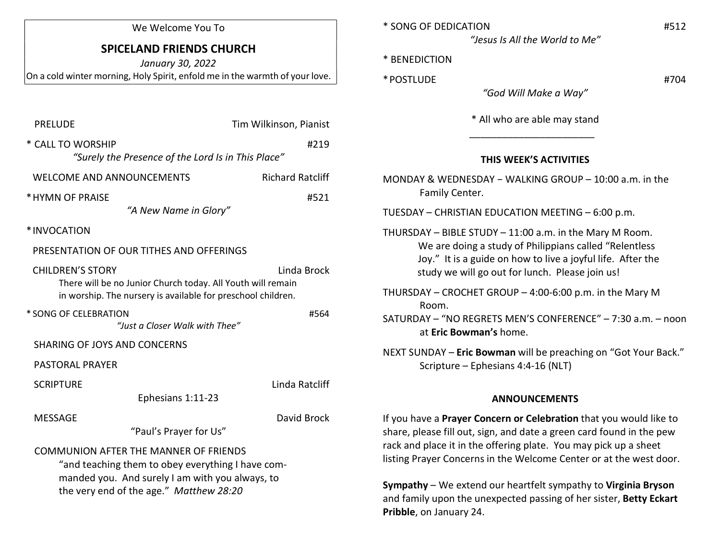#### We Welcome You To

# SPICELAND FRIENDS CHURCH

January 30, 2022 On a cold winter morning, Holy Spirit, enfold me in the warmth of your love.

| <b>PRELUDE</b>                                                                                                                                                                                  | Tim Wilkinson, Pianist  |
|-------------------------------------------------------------------------------------------------------------------------------------------------------------------------------------------------|-------------------------|
| * CALL TO WORSHIP<br>#219<br>"Surely the Presence of the Lord Is in This Place"                                                                                                                 |                         |
| <b>WELCOME AND ANNOUNCEMENTS</b>                                                                                                                                                                | <b>Richard Ratcliff</b> |
| * HYMN OF PRAISE<br>"A New Name in Glory"                                                                                                                                                       | #521                    |
| *INVOCATION                                                                                                                                                                                     |                         |
| PRESENTATION OF OUR TITHES AND OFFERINGS                                                                                                                                                        |                         |
| <b>CHILDREN'S STORY</b><br>Linda Brock<br>There will be no Junior Church today. All Youth will remain<br>in worship. The nursery is available for preschool children.                           |                         |
| * SONG OF CELEBRATION<br>"Just a Closer Walk with Thee"                                                                                                                                         | #564                    |
| SHARING OF JOYS AND CONCERNS                                                                                                                                                                    |                         |
| <b>PASTORAL PRAYER</b>                                                                                                                                                                          |                         |
| <b>SCRIPTURE</b><br>Ephesians 1:11-23                                                                                                                                                           | Linda Ratcliff          |
| <b>MESSAGE</b><br>"Paul's Prayer for Us"                                                                                                                                                        | David Brock             |
| <b>COMMUNION AFTER THE MANNER OF FRIENDS</b><br>"and teaching them to obey everything I have com-<br>manded you. And surely I am with you always, to<br>the very end of the age." Matthew 28:20 |                         |

| * SONG OF DEDICATION           | #512 |
|--------------------------------|------|
| "Jesus Is All the World to Me" |      |

\* BENEDICTION

\* POSTLUDE #704

"God Will Make a Way"

\* All who are able may stand

## THIS WEEK'S ACTIVITIES

MONDAY & WEDNESDAY − WALKING GROUP – 10:00 a.m. in the Family Center.

TUESDAY – CHRISTIAN EDUCATION MEETING – 6:00 p.m.

 $\frac{1}{2}$  ,  $\frac{1}{2}$  ,  $\frac{1}{2}$  ,  $\frac{1}{2}$  ,  $\frac{1}{2}$  ,  $\frac{1}{2}$  ,  $\frac{1}{2}$  ,  $\frac{1}{2}$  ,  $\frac{1}{2}$  ,  $\frac{1}{2}$  ,  $\frac{1}{2}$  ,  $\frac{1}{2}$  ,  $\frac{1}{2}$  ,  $\frac{1}{2}$  ,  $\frac{1}{2}$  ,  $\frac{1}{2}$  ,  $\frac{1}{2}$  ,  $\frac{1}{2}$  ,  $\frac{1$ 

THURSDAY – BIBLE STUDY – 11:00 a.m. in the Mary M Room. We are doing a study of Philippians called "Relentless Joy." It is a guide on how to live a joyful life. After the study we will go out for lunch. Please join us!

THURSDAY – CROCHET GROUP – 4:00-6:00 p.m. in the Mary M Room.

SATURDAY – "NO REGRETS MEN'S CONFERENCE" – 7:30 a.m. – noon at Eric Bowman's home.

NEXT SUNDAY – Eric Bowman will be preaching on "Got Your Back." Scripture – Ephesians 4:4-16 (NLT)

#### ANNOUNCEMENTS

If you have a Prayer Concern or Celebration that you would like to share, please fill out, sign, and date a green card found in the pew rack and place it in the offering plate. You may pick up a sheet listing Prayer Concerns in the Welcome Center or at the west door.

Sympathy – We extend our heartfelt sympathy to Virginia Bryson and family upon the unexpected passing of her sister, Betty Eckart Pribble, on January 24.